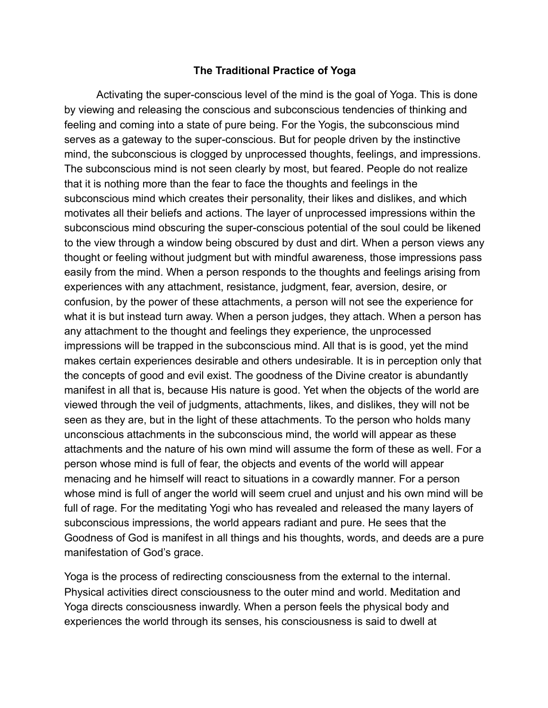## **The Traditional Practice of Yoga**

Activating the super-conscious level of the mind is the goal of Yoga. This is done by viewing and releasing the conscious and subconscious tendencies of thinking and feeling and coming into a state of pure being. For the Yogis, the subconscious mind serves as a gateway to the super-conscious. But for people driven by the instinctive mind, the subconscious is clogged by unprocessed thoughts, feelings, and impressions. The subconscious mind is not seen clearly by most, but feared. People do not realize that it is nothing more than the fear to face the thoughts and feelings in the subconscious mind which creates their personality, their likes and dislikes, and which motivates all their beliefs and actions. The layer of unprocessed impressions within the subconscious mind obscuring the super-conscious potential of the soul could be likened to the view through a window being obscured by dust and dirt. When a person views any thought or feeling without judgment but with mindful awareness, those impressions pass easily from the mind. When a person responds to the thoughts and feelings arising from experiences with any attachment, resistance, judgment, fear, aversion, desire, or confusion, by the power of these attachments, a person will not see the experience for what it is but instead turn away. When a person judges, they attach. When a person has any attachment to the thought and feelings they experience, the unprocessed impressions will be trapped in the subconscious mind. All that is is good, yet the mind makes certain experiences desirable and others undesirable. It is in perception only that the concepts of good and evil exist. The goodness of the Divine creator is abundantly manifest in all that is, because His nature is good. Yet when the objects of the world are viewed through the veil of judgments, attachments, likes, and dislikes, they will not be seen as they are, but in the light of these attachments. To the person who holds many unconscious attachments in the subconscious mind, the world will appear as these attachments and the nature of his own mind will assume the form of these as well. For a person whose mind is full of fear, the objects and events of the world will appear menacing and he himself will react to situations in a cowardly manner. For a person whose mind is full of anger the world will seem cruel and unjust and his own mind will be full of rage. For the meditating Yogi who has revealed and released the many layers of subconscious impressions, the world appears radiant and pure. He sees that the Goodness of God is manifest in all things and his thoughts, words, and deeds are a pure manifestation of God's grace.

Yoga is the process of redirecting consciousness from the external to the internal. Physical activities direct consciousness to the outer mind and world. Meditation and Yoga directs consciousness inwardly. When a person feels the physical body and experiences the world through its senses, his consciousness is said to dwell at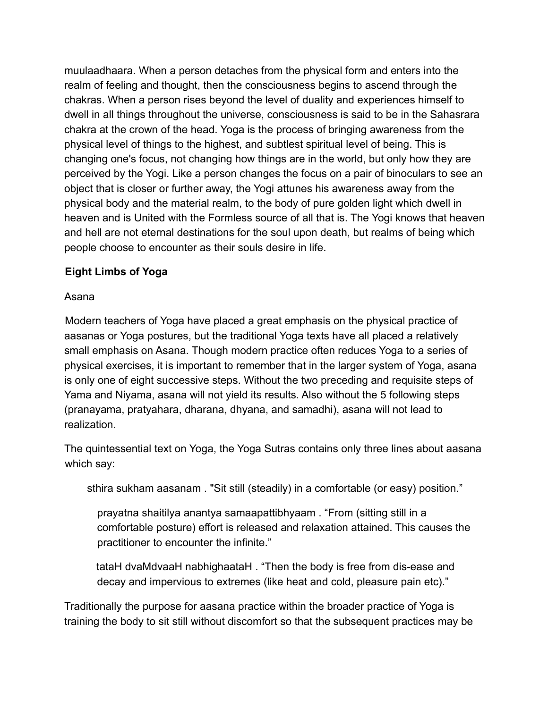muulaadhaara. When a person detaches from the physical form and enters into the realm of feeling and thought, then the consciousness begins to ascend through the chakras. When a person rises beyond the level of duality and experiences himself to dwell in all things throughout the universe, consciousness is said to be in the Sahasrara chakra at the crown of the head. Yoga is the process of bringing awareness from the physical level of things to the highest, and subtlest spiritual level of being. This is changing one's focus, not changing how things are in the world, but only how they are perceived by the Yogi. Like a person changes the focus on a pair of binoculars to see an object that is closer or further away, the Yogi attunes his awareness away from the physical body and the material realm, to the body of pure golden light which dwell in heaven and is United with the Formless source of all that is. The Yogi knows that heaven and hell are not eternal destinations for the soul upon death, but realms of being which people choose to encounter as their souls desire in life.

## **Eight Limbs of Yoga**

Asana

Modern teachers of Yoga have placed a great emphasis on the physical practice of aasanas or Yoga postures, but the traditional Yoga texts have all placed a relatively small emphasis on Asana. Though modern practice often reduces Yoga to a series of physical exercises, it is important to remember that in the larger system of Yoga, asana is only one of eight successive steps. Without the two preceding and requisite steps of Yama and Niyama, asana will not yield its results. Also without the 5 following steps (pranayama, pratyahara, dharana, dhyana, and samadhi), asana will not lead to realization.

The quintessential text on Yoga, the Yoga Sutras contains only three lines about aasana which say:

sthira sukham aasanam . "Sit still (steadily) in a comfortable (or easy) position."

prayatna shaitilya anantya samaapattibhyaam . "From (sitting still in a comfortable posture) effort is released and relaxation attained. This causes the practitioner to encounter the infinite."

tataH dvaMdvaaH nabhighaataH . "Then the body is free from dis-ease and decay and impervious to extremes (like heat and cold, pleasure pain etc)."

Traditionally the purpose for aasana practice within the broader practice of Yoga is training the body to sit still without discomfort so that the subsequent practices may be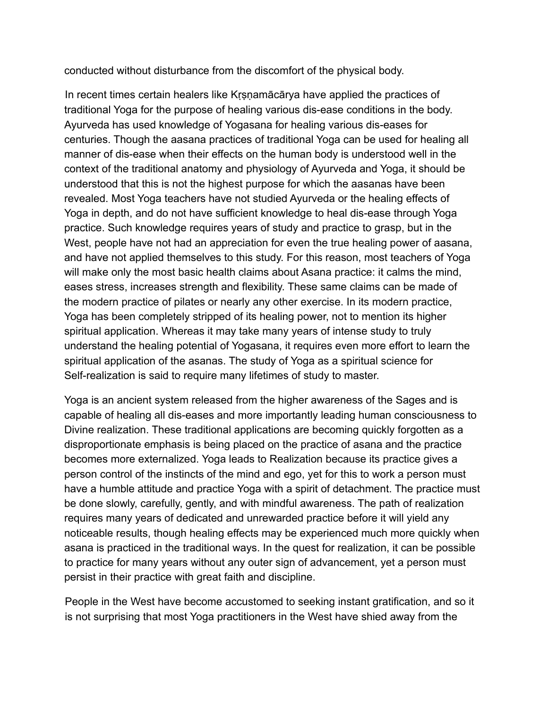conducted without disturbance from the discomfort of the physical body.

In recent times certain healers like Kṛṣṇamācārya have applied the practices of traditional Yoga for the purpose of healing various dis-ease conditions in the body. Ayurveda has used knowledge of Yogasana for healing various dis-eases for centuries. Though the aasana practices of traditional Yoga can be used for healing all manner of dis-ease when their effects on the human body is understood well in the context of the traditional anatomy and physiology of Ayurveda and Yoga, it should be understood that this is not the highest purpose for which the aasanas have been revealed. Most Yoga teachers have not studied Ayurveda or the healing effects of Yoga in depth, and do not have sufficient knowledge to heal dis-ease through Yoga practice. Such knowledge requires years of study and practice to grasp, but in the West, people have not had an appreciation for even the true healing power of aasana, and have not applied themselves to this study. For this reason, most teachers of Yoga will make only the most basic health claims about Asana practice: it calms the mind, eases stress, increases strength and flexibility. These same claims can be made of the modern practice of pilates or nearly any other exercise. In its modern practice, Yoga has been completely stripped of its healing power, not to mention its higher spiritual application. Whereas it may take many years of intense study to truly understand the healing potential of Yogasana, it requires even more effort to learn the spiritual application of the asanas. The study of Yoga as a spiritual science for Self-realization is said to require many lifetimes of study to master.

Yoga is an ancient system released from the higher awareness of the Sages and is capable of healing all dis-eases and more importantly leading human consciousness to Divine realization. These traditional applications are becoming quickly forgotten as a disproportionate emphasis is being placed on the practice of asana and the practice becomes more externalized. Yoga leads to Realization because its practice gives a person control of the instincts of the mind and ego, yet for this to work a person must have a humble attitude and practice Yoga with a spirit of detachment. The practice must be done slowly, carefully, gently, and with mindful awareness. The path of realization requires many years of dedicated and unrewarded practice before it will yield any noticeable results, though healing effects may be experienced much more quickly when asana is practiced in the traditional ways. In the quest for realization, it can be possible to practice for many years without any outer sign of advancement, yet a person must persist in their practice with great faith and discipline.

People in the West have become accustomed to seeking instant gratification, and so it is not surprising that most Yoga practitioners in the West have shied away from the